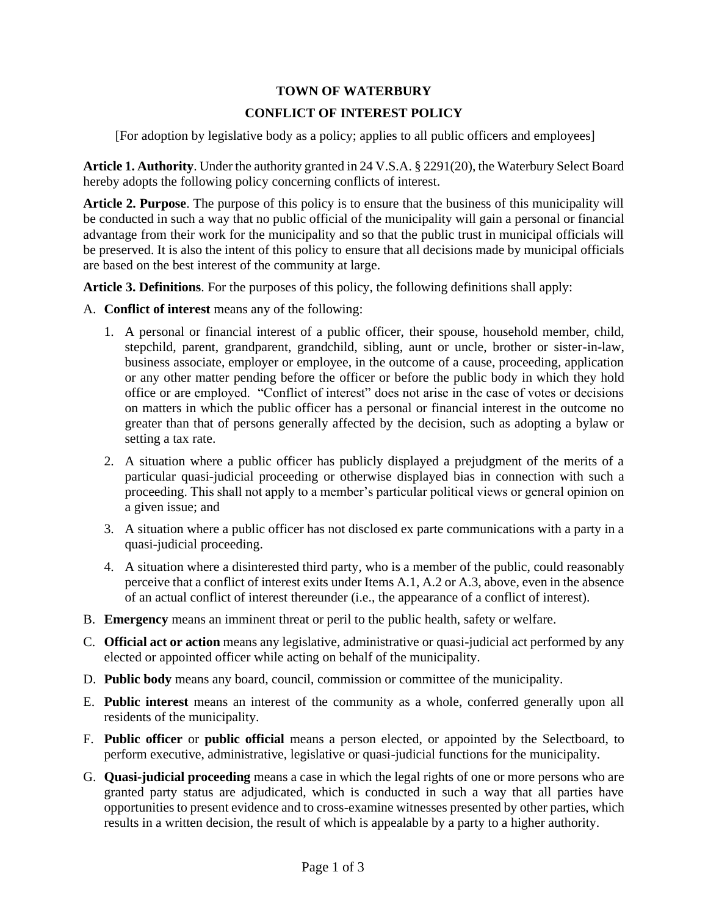## **TOWN OF WATERBURY**

# **CONFLICT OF INTEREST POLICY**

[For adoption by legislative body as a policy; applies to all public officers and employees]

**Article 1. Authority**. Under the authority granted in 24 V.S.A. § 2291(20), the Waterbury Select Board hereby adopts the following policy concerning conflicts of interest.

**Article 2. Purpose**. The purpose of this policy is to ensure that the business of this municipality will be conducted in such a way that no public official of the municipality will gain a personal or financial advantage from their work for the municipality and so that the public trust in municipal officials will be preserved. It is also the intent of this policy to ensure that all decisions made by municipal officials are based on the best interest of the community at large.

**Article 3. Definitions**. For the purposes of this policy, the following definitions shall apply:

- A. **Conflict of interest** means any of the following:
	- 1. A personal or financial interest of a public officer, their spouse, household member, child, stepchild, parent, grandparent, grandchild, sibling, aunt or uncle, brother or sister-in-law, business associate, employer or employee, in the outcome of a cause, proceeding, application or any other matter pending before the officer or before the public body in which they hold office or are employed. "Conflict of interest" does not arise in the case of votes or decisions on matters in which the public officer has a personal or financial interest in the outcome no greater than that of persons generally affected by the decision, such as adopting a bylaw or setting a tax rate.
	- 2. A situation where a public officer has publicly displayed a prejudgment of the merits of a particular quasi-judicial proceeding or otherwise displayed bias in connection with such a proceeding. This shall not apply to a member's particular political views or general opinion on a given issue; and
	- 3. A situation where a public officer has not disclosed ex parte communications with a party in a quasi-judicial proceeding.
	- 4. A situation where a disinterested third party, who is a member of the public, could reasonably perceive that a conflict of interest exits under Items A.1, A.2 or A.3, above, even in the absence of an actual conflict of interest thereunder (i.e., the appearance of a conflict of interest).
- B. **Emergency** means an imminent threat or peril to the public health, safety or welfare.
- C. **Official act or action** means any legislative, administrative or quasi-judicial act performed by any elected or appointed officer while acting on behalf of the municipality.
- D. **Public body** means any board, council, commission or committee of the municipality.
- E. **Public interest** means an interest of the community as a whole, conferred generally upon all residents of the municipality.
- F. **Public officer** or **public official** means a person elected, or appointed by the Selectboard, to perform executive, administrative, legislative or quasi-judicial functions for the municipality.
- G. **Quasi-judicial proceeding** means a case in which the legal rights of one or more persons who are granted party status are adjudicated, which is conducted in such a way that all parties have opportunities to present evidence and to cross-examine witnesses presented by other parties, which results in a written decision, the result of which is appealable by a party to a higher authority.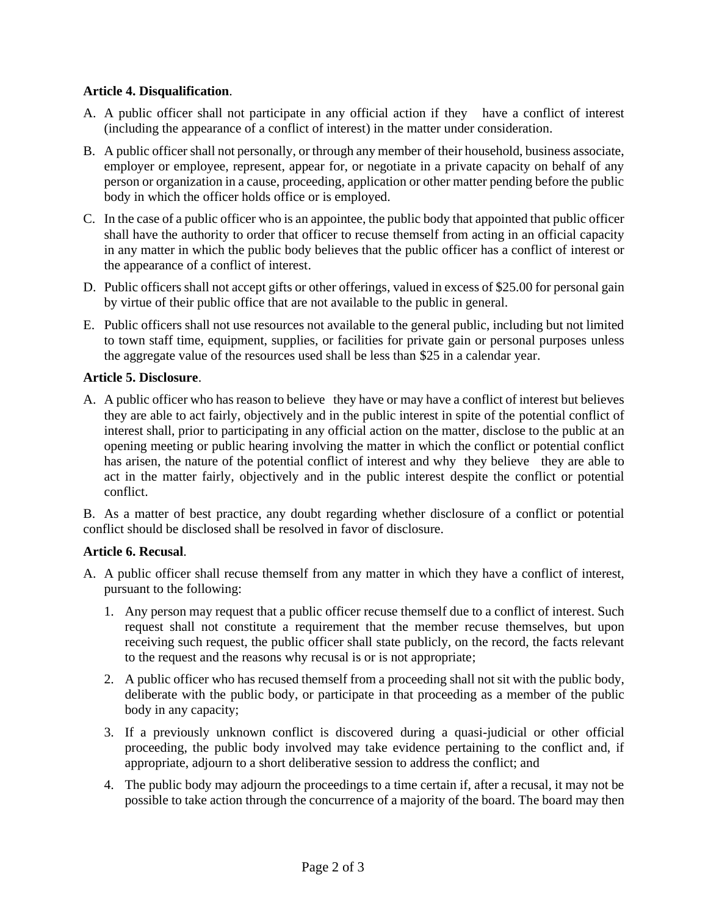## **Article 4. Disqualification**.

- A. A public officer shall not participate in any official action if they have a conflict of interest (including the appearance of a conflict of interest) in the matter under consideration.
- B. A public officer shall not personally, or through any member of their household, business associate, employer or employee, represent, appear for, or negotiate in a private capacity on behalf of any person or organization in a cause, proceeding, application or other matter pending before the public body in which the officer holds office or is employed.
- C. In the case of a public officer who is an appointee, the public body that appointed that public officer shall have the authority to order that officer to recuse themself from acting in an official capacity in any matter in which the public body believes that the public officer has a conflict of interest or the appearance of a conflict of interest.
- D. Public officers shall not accept gifts or other offerings, valued in excess of \$25.00 for personal gain by virtue of their public office that are not available to the public in general.
- E. Public officers shall not use resources not available to the general public, including but not limited to town staff time, equipment, supplies, or facilities for private gain or personal purposes unless the aggregate value of the resources used shall be less than \$25 in a calendar year.

#### **Article 5. Disclosure**.

A. A public officer who has reason to believe they have or may have a conflict of interest but believes they are able to act fairly, objectively and in the public interest in spite of the potential conflict of interest shall, prior to participating in any official action on the matter, disclose to the public at an opening meeting or public hearing involving the matter in which the conflict or potential conflict has arisen, the nature of the potential conflict of interest and why they believe they are able to act in the matter fairly, objectively and in the public interest despite the conflict or potential conflict.

B. As a matter of best practice, any doubt regarding whether disclosure of a conflict or potential conflict should be disclosed shall be resolved in favor of disclosure.

## **Article 6. Recusal**.

- A. A public officer shall recuse themself from any matter in which they have a conflict of interest, pursuant to the following:
	- 1. Any person may request that a public officer recuse themself due to a conflict of interest. Such request shall not constitute a requirement that the member recuse themselves, but upon receiving such request, the public officer shall state publicly, on the record, the facts relevant to the request and the reasons why recusal is or is not appropriate;
	- 2. A public officer who has recused themself from a proceeding shall not sit with the public body, deliberate with the public body, or participate in that proceeding as a member of the public body in any capacity;
	- 3. If a previously unknown conflict is discovered during a quasi-judicial or other official proceeding, the public body involved may take evidence pertaining to the conflict and, if appropriate, adjourn to a short deliberative session to address the conflict; and
	- 4. The public body may adjourn the proceedings to a time certain if, after a recusal, it may not be possible to take action through the concurrence of a majority of the board. The board may then